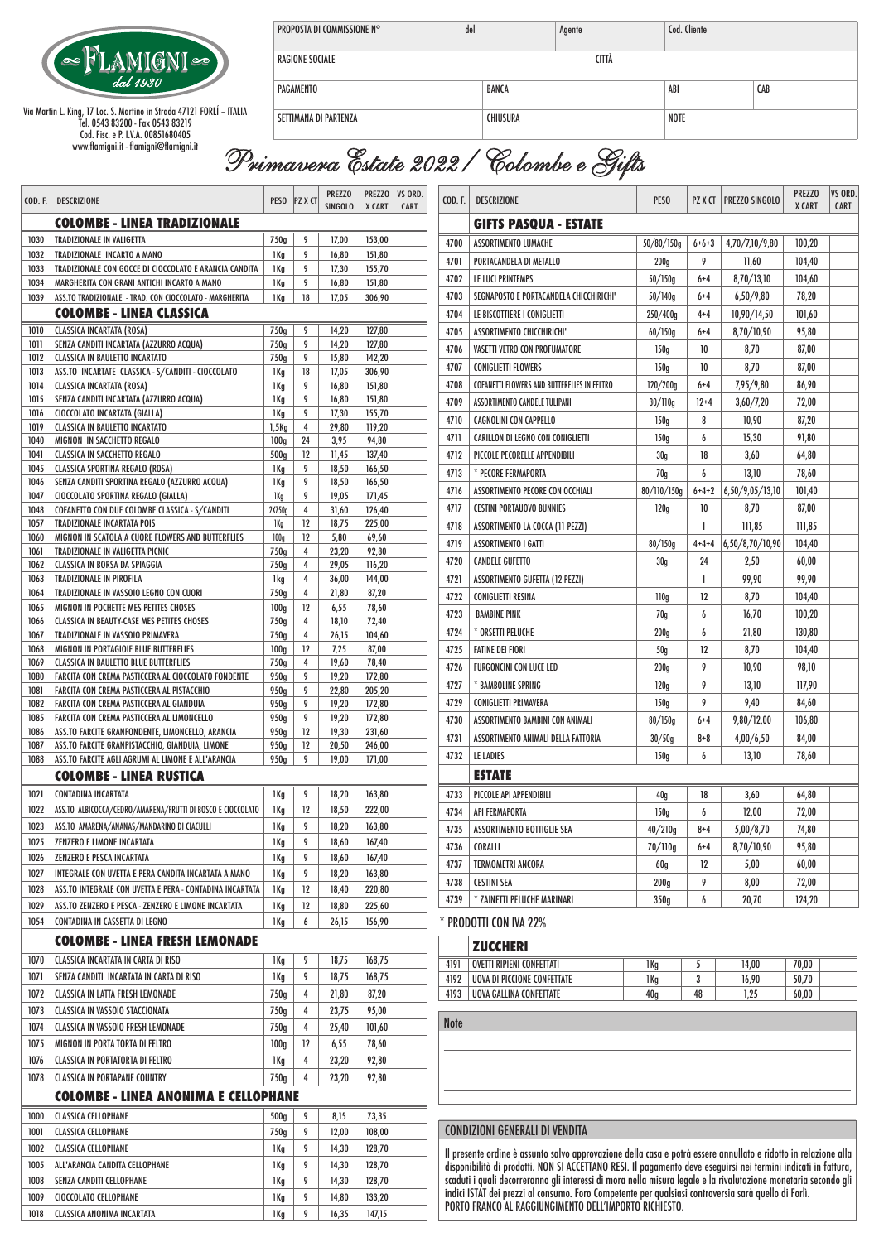

Via Martin L. King, 17 Loc. S. Martino in Strada 47121 FORLÍ – ITALIA Tel. 0543 83200 - Fax 0543 83219 Cod. Fisc. e P. I.V.A. 00851680405 www.flamigni.it - flamigni@flamigni.it

| PROPOSTA DI COMMISSIONE N° | del<br>Agente |  |       | Cod. Cliente |     |  |
|----------------------------|---------------|--|-------|--------------|-----|--|
| RAGIONE SOCIALE            |               |  | CITTÀ |              |     |  |
| PAGAMENTO                  | BANCA         |  |       | ABI          | CAB |  |
| SETTIMANA DI PARTENZA      | CHIUSURA      |  |       | <b>NOTE</b>  |     |  |

## *Primavera Estate 2022 / Colombe e Gifts*

| COD. F.      | <b>DESCRIZIONE</b>                                                                                         | <b>PESO</b>      | <b>PZ X CT</b>      | <b>PREZZO</b><br><b>SINGOLO</b> | <b>PREZZO</b><br>X CART | VS ORD.<br>CART. | COD. F.     | <b>DESCRIZIONE</b>                                                                                                                                                                                                                                                                                                                        | PESO                |              | PZ X CT   PREZZO SINGOLO | <b>PREZZO</b><br>X CART | <b>VS ORD.</b><br>CART. |  |
|--------------|------------------------------------------------------------------------------------------------------------|------------------|---------------------|---------------------------------|-------------------------|------------------|-------------|-------------------------------------------------------------------------------------------------------------------------------------------------------------------------------------------------------------------------------------------------------------------------------------------------------------------------------------------|---------------------|--------------|--------------------------|-------------------------|-------------------------|--|
|              | <b>COLOMBE - LINEA TRADIZIONALE</b><br><b>GIFTS PASQUA - ESTATE</b>                                        |                  |                     |                                 |                         |                  |             |                                                                                                                                                                                                                                                                                                                                           |                     |              |                          |                         |                         |  |
| 1030         | <b>TRADIZIONALE IN VALIGETTA</b>                                                                           | 750g             | 9                   | 17,00                           | 153,00                  |                  | 4700        | ASSORTIMENTO LUMACHE                                                                                                                                                                                                                                                                                                                      | 50/80/150g          | $6 + 6 + 3$  | 4,70/7,10/9,80           | 100,20                  |                         |  |
| 1032         | TRADIZIONALE INCARTO A MANO                                                                                | 1 <sub>Kg</sub>  | 9                   | 16,80                           | 151,80                  |                  | 4701        | PORTACANDELA DI METALLO                                                                                                                                                                                                                                                                                                                   | 200q                | 9            | 11,60                    | 104,40                  |                         |  |
| 1033         | TRADIZIONALE CON GOCCE DI CIOCCOLATO E ARANCIA CANDITA                                                     | 1 Kg             | 9                   | 17,30                           | 155,70                  |                  | 4702        | LE LUCI PRINTEMPS                                                                                                                                                                                                                                                                                                                         | 50/150g             | $6 + 4$      | 8,70/13,10               | 104,60                  |                         |  |
| 1034         | MARGHERITA CON GRANI ANTICHI INCARTO A MANO                                                                | 1 Kg             | 9                   | 16,80                           | 151,80                  |                  | 4703        | SEGNAPOSTO E PORTACANDELA CHICCHIRICHI'                                                                                                                                                                                                                                                                                                   | 50/140g             | $6 + 4$      | 6,50/9,80                | 78,20                   |                         |  |
| 1039         | ASS.TO TRADIZIONALE - TRAD. CON CIOCCOLATO - MARGHERITA<br><b>COLOMBE - LINEA CLASSICA</b>                 | 1 Kg             | 18                  | 17,05                           | 306,90                  |                  |             |                                                                                                                                                                                                                                                                                                                                           |                     |              |                          |                         |                         |  |
|              |                                                                                                            |                  |                     |                                 |                         |                  | 4704        | LE BISCOTTIERE I CONIGLIETTI                                                                                                                                                                                                                                                                                                              | 250/400g            | $4 + 4$      | 10,90/14,50              | 101,60                  |                         |  |
| 1010<br>1011 | <b>CLASSICA INCARTATA (ROSA)</b><br>SENZA CANDITI INCARTATA (AZZURRO ACQUA)                                | 750g<br>750g     | 9<br>9              | 14,20<br>14,20                  | 127,80<br>127,80        |                  | 4705        | ASSORTIMENTO CHICCHIRICHI'                                                                                                                                                                                                                                                                                                                | 60/150g             | $6 + 4$      | 8,70/10,90               | 95,80                   |                         |  |
| 1012         | <b>CLASSICA IN BAULETTO INCARTATO</b>                                                                      | 750g             | 9                   | 15,80                           | 142,20                  |                  | 4706        | <b>VASETTI VETRO CON PROFUMATORE</b>                                                                                                                                                                                                                                                                                                      | 150q                | 10           | 8,70                     | 87,00                   |                         |  |
| 1013         | ASS.TO INCARTATE CLASSICA - S/CANDITI - CIOCCOLATO                                                         | 1 Kg             | 18                  | 17,05                           | 306,90                  |                  | 4707        | <b>CONIGLIETTI FLOWERS</b>                                                                                                                                                                                                                                                                                                                | 150q                | 10           | 8,70                     | 87,00                   |                         |  |
| 1014         | <b>CLASSICA INCARTATA (ROSA)</b>                                                                           | 1 Kg             | 9                   | 16,80                           | 151,80                  |                  | 4708        | COFANETTI FLOWERS AND BUTTERFLIES IN FELTRO                                                                                                                                                                                                                                                                                               | 120/200g            | $6 + 4$      | 7,95/9,80                | 86,90                   |                         |  |
| 1015         | SENZA CANDITI INCARTATA (AZZURRO ACQUA)                                                                    | 1 <sub>Kg</sub>  | 9<br>9              | 16,80                           | 151,80                  |                  | 4709        | ASSORTIMENTO CANDELE TULIPANI                                                                                                                                                                                                                                                                                                             | 30/110g             | $12 + 4$     | 3,60/7,20                | 72,00                   |                         |  |
| 1016<br>1019 | CIOCCOLATO INCARTATA (GIALLA)<br><b>CLASSICA IN BAULETTO INCARTATO</b>                                     | 1 Kg<br>$1,5$ Kg | $\overline{4}$      | 17,30<br>29,80                  | 155,70<br>119,20        |                  | 4710        | <b>CAGNOLINI CON CAPPELLO</b>                                                                                                                                                                                                                                                                                                             | 150q                | 8            | 10,90                    | 87,20                   |                         |  |
| 1040         | MIGNON IN SACCHETTO REGALO                                                                                 | 100q             | 24                  | 3,95                            | 94,80                   |                  | 4711        | CARILLON DI LEGNO CON CONIGLIETTI                                                                                                                                                                                                                                                                                                         | 150 <sub>q</sub>    | 6            | 15,30                    | 91,80                   |                         |  |
| 1041         | <b>CLASSICA IN SACCHETTO REGALO</b>                                                                        | 500 <sub>a</sub> | 12                  | 11,45                           | 137,40                  |                  | 4712        | PICCOLE PECORELLE APPENDIBILI                                                                                                                                                                                                                                                                                                             | 30 <sub>g</sub>     | 18           | 3,60                     | 64,80                   |                         |  |
| 1045         | <b>CLASSICA SPORTINA REGALO (ROSA)</b>                                                                     | 1 <sub>Kg</sub>  | 9                   | 18,50                           | 166,50                  |                  | 4713        | * PECORE FERMAPORTA                                                                                                                                                                                                                                                                                                                       | 70 <sub>g</sub>     | 6            | 13,10                    | 78,60                   |                         |  |
| 1046         | SENZA CANDITI SPORTINA REGALO (AZZURRO ACQUA)                                                              | 1 Kg             | 9                   | 18,50                           | 166,50                  |                  | 4716        | <b>ASSORTIMENTO PECORE CON OCCHIALI</b>                                                                                                                                                                                                                                                                                                   | 80/110/150g         | $6 + 4 + 2$  | 6,50/9,05/13,10          | 101,40                  |                         |  |
| 1047<br>1048 | CIOCCOLATO SPORTINA REGALO (GIALLA)<br>COFANETTO CON DUE COLOMBE CLASSICA - S/CANDITI                      | 1 Kg<br>2X750g   | 9<br>$\overline{4}$ | 19,05<br>31,60                  | 171,45<br>126,40        |                  | 4717        | <b>CESTINI PORTAUOVO BUNNIES</b>                                                                                                                                                                                                                                                                                                          | 120q                | 10           | 8,70                     | 87,00                   |                         |  |
| 1057         | TRADIZIONALE INCARTATA POIS                                                                                | 1 Kg             | 12                  | 18,75                           | 225,00                  |                  | 4718        | ASSORTIMENTO LA COCCA (11 PEZZI)                                                                                                                                                                                                                                                                                                          |                     | $\mathbf{1}$ | 111,85                   | 111,85                  |                         |  |
| 1060         | MIGNON IN SCATOLA A CUORE FLOWERS AND BUTTERFLIES                                                          | 100g             | 12                  | 5,80                            | 69,60                   |                  | 4719        | <b>ASSORTIMENTO I GATTI</b>                                                                                                                                                                                                                                                                                                               | 80/150g             | $4 + 4 + 4$  | (6,50/8,70/10,90)        | 104,40                  |                         |  |
| 1061         | TRADIZIONALE IN VALIGETTA PICNIC                                                                           | 750g             | $\overline{4}$      | 23,20                           | 92,80                   |                  |             |                                                                                                                                                                                                                                                                                                                                           |                     |              |                          |                         |                         |  |
| 1062         | <b>CLASSICA IN BORSA DA SPIAGGIA</b>                                                                       | 750g             | 4                   | 29,05                           | 116,20                  |                  | 4720        | <b>CANDELE GUFETTO</b>                                                                                                                                                                                                                                                                                                                    | 30 <sub>g</sub>     | 24           | 2,50                     | 60,00                   |                         |  |
| 1063<br>1064 | <b>TRADIZIONALE IN PIROFILA</b><br>TRADIZIONALE IN VASSOIO LEGNO CON CUORI                                 | 1kg<br>750g      | 4<br>$\overline{4}$ | 36,00<br>21,80                  | 144,00<br>87,20         |                  | 4721        | <b>ASSORTIMENTO GUFETTA (12 PEZZI)</b>                                                                                                                                                                                                                                                                                                    |                     | 1            | 99,90                    | 99,90                   |                         |  |
| 1065         | MIGNON IN POCHETTE MES PETITES CHOSES                                                                      | 100q             | 12                  | 6,55                            | 78,60                   |                  | 4722        | <b>CONIGLIETTI RESINA</b>                                                                                                                                                                                                                                                                                                                 | 110 <sub>g</sub>    | 12           | 8,70                     | 104,40                  |                         |  |
| 1066         | <b>CLASSICA IN BEAUTY-CASE MES PETITES CHOSES</b>                                                          | 750a             | 4                   | 18,10                           | 72,40                   |                  | 4723        | <b>BAMBINE PINK</b>                                                                                                                                                                                                                                                                                                                       | 70 <sub>g</sub>     | 6            | 16,70                    | 100,20                  |                         |  |
| 1067         | TRADIZIONALE IN VASSOIO PRIMAVERA                                                                          | 750a             | 4                   | 26,15                           | 104,60                  |                  | 4724        | $^\star$ orsetti peluche                                                                                                                                                                                                                                                                                                                  | 200q                | 6            | 21,80                    | 130,80                  |                         |  |
| 1068         | MIGNON IN PORTAGIOIE BLUE BUTTERFLIES                                                                      | 100q             | 12                  | 7,25                            | 87,00                   |                  | 4725        | <b>FATINE DEI FIORI</b>                                                                                                                                                                                                                                                                                                                   | 50 <sub>g</sub>     | 12           | 8,70                     | 104,40                  |                         |  |
| 1069         | <b>CLASSICA IN BAULETTO BLUE BUTTERFLIES</b>                                                               | 750g             | $\overline{4}$      | 19,60                           | 78,40                   |                  | 4726        | <b>FURGONCINI CON LUCE LED</b>                                                                                                                                                                                                                                                                                                            | 200q                | 9            | 10,90                    | 98,10                   |                         |  |
| 1080<br>1081 | FARCITA CON CREMA PASTICCERA AL CIOCCOLATO FONDENTE<br>FARCITA CON CREMA PASTICCERA AL PISTACCHIO          | 950g<br>950g     | 9<br>9              | 19,20<br>22,80                  | 172,80<br>205,20        |                  | 4727        | * BAMBOLINE SPRING                                                                                                                                                                                                                                                                                                                        | 120q                | 9            | 13,10                    | 117,90                  |                         |  |
| 1082         | FARCITA CON CREMA PASTICCERA AL GIANDUIA                                                                   | 950g             | 9                   | 19,20                           | 172,80                  |                  | 4729        | CONIGLIETTI PRIMAVERA                                                                                                                                                                                                                                                                                                                     | 150q                | 9            | 9,40                     | 84,60                   |                         |  |
| 1085         | FARCITA CON CREMA PASTICCERA AL LIMONCELLO                                                                 | 950g             | 9                   | 19,20                           | 172,80                  |                  | 4730        | ASSORTIMENTO BAMBINI CON ANIMALI                                                                                                                                                                                                                                                                                                          | 80/150g             | $6 + 4$      | 9,80/12,00               | 106,80                  |                         |  |
| 1086         | ASS.TO FARCITE GRANFONDENTE, LIMONCELLO, ARANCIA                                                           | 950a             | 12                  | 19,30                           | 231,60                  |                  | 4731        | ASSORTIMENTO ANIMALI DELLA FATTORIA                                                                                                                                                                                                                                                                                                       | 30/50g              | $8 + 8$      | 4,00/6,50                | 84,00                   |                         |  |
| 1087         | ASS.TO FARCITE GRANPISTACCHIO, GIANDUIA, LIMONE                                                            | 950a             | 12                  | 20,50                           | 246,00                  |                  | 4732        | LE LADIES                                                                                                                                                                                                                                                                                                                                 | 150q                | 6            | 13,10                    | 78,60                   |                         |  |
| 1088         | ASS.TO FARCITE AGLI AGRUMI AL LIMONE E ALL'ARANCIA                                                         | 950g             | 9                   | 19,00                           | 171,00                  |                  |             | <b>ESTATE</b>                                                                                                                                                                                                                                                                                                                             |                     |              |                          |                         |                         |  |
|              | <b>COLOMBE - LINEA RUSTICA</b>                                                                             |                  |                     |                                 |                         |                  |             |                                                                                                                                                                                                                                                                                                                                           |                     |              |                          |                         |                         |  |
| 1021         | <b>CONTADINA INCARTATA</b>                                                                                 | 1 Kg             | 9                   | 18,20                           | 163,80                  |                  | 4733        | PICCOLE API APPENDIBILI                                                                                                                                                                                                                                                                                                                   | 40 <sub>g</sub>     | 18           | 3,60                     | 64,80                   |                         |  |
| 1022<br>1023 | ASS.TO ALBICOCCA/CEDRO/AMARENA/FRUTTI DI BOSCO E CIOCCOLATO<br>ASS.TO AMARENA/ANANAS/MANDARINO DI CIACULLI | 1 <sub>Kg</sub>  | 12<br>9             | 18,50<br>18,20                  | 222,00<br>163,80        |                  | 4734        | API FERMAPORTA<br>6<br>12,00<br>72,00<br>150 <sub>g</sub>                                                                                                                                                                                                                                                                                 |                     |              |                          |                         |                         |  |
| 1025         | <b>ZENZERO E LIMONE INCARTATA</b>                                                                          | 1 Kg<br>1 Kg     | 9                   | 18,60                           | 167,40                  |                  | 4735        | ASSORTIMENTO BOTTIGLIE SEA                                                                                                                                                                                                                                                                                                                | 40/210 <sub>g</sub> | $8 + 4$      | 5,00/8,70                | 74,80                   |                         |  |
| 1026         | ZENZERO E PESCA INCARTATA                                                                                  | 1 Kg             | 9                   | 18,60                           | 167,40                  |                  | 4736        | CORALLI<br>70/110g<br>8,70/10,90<br>$6 + 4$                                                                                                                                                                                                                                                                                               |                     | 95,80        |                          |                         |                         |  |
| 1027         | INTEGRALE CON UVETTA E PERA CANDITA INCARTATA A MANO                                                       | 1 Kg             | 9                   | 18,20                           | 163,80                  |                  | 4737        | TERMOMETRI ANCORA<br>60 <sub>g</sub><br>12<br>5,00                                                                                                                                                                                                                                                                                        |                     | 60,00        |                          |                         |                         |  |
| 1028         | ASS.TO INTEGRALE CON UVETTA E PERA - CONTADINA INCARTATA                                                   | 1 Kg             | 12                  | 18,40                           | 220,80                  |                  | 4738        | <b>CESTINI SEA</b>                                                                                                                                                                                                                                                                                                                        | 200 <sub>g</sub>    | 9            | 8,00                     | 72,00                   |                         |  |
| 1029         | ASS.TO ZENZERO E PESCA - ZENZERO E LIMONE INCARTATA                                                        | 1 Kg             | 12                  | 18,80                           | 225,60                  |                  | 4739        | * ZAINETTI PELUCHE MARINARI<br>350q<br>6<br>20,70<br>124,20                                                                                                                                                                                                                                                                               |                     |              |                          |                         |                         |  |
| 1054         | CONTADINA IN CASSETTA DI LEGNO                                                                             | 1 Kg             | 6                   | 26,15                           | 156,90                  |                  |             | PRODOTTI CON IVA 22%                                                                                                                                                                                                                                                                                                                      |                     |              |                          |                         |                         |  |
|              | <b>COLOMBE - LINEA FRESH LEMONADE</b>                                                                      |                  |                     |                                 |                         |                  |             |                                                                                                                                                                                                                                                                                                                                           |                     |              |                          |                         |                         |  |
|              |                                                                                                            |                  |                     |                                 |                         |                  |             | <b>ZUCCHERI</b>                                                                                                                                                                                                                                                                                                                           |                     |              |                          |                         |                         |  |
| 1070         | <b>CLASSICA INCARTATA IN CARTA DI RISO</b>                                                                 | 1 Kg             | 9                   | 18,75                           | 168,75                  |                  | 4191        | <b>OVETTI RIPIENI CONFETTATI</b>                                                                                                                                                                                                                                                                                                          | 1 Kg                | 5            | 14,00                    | 70,00                   |                         |  |
| 1071         | SENZA CANDITI INCARTATA IN CARTA DI RISO                                                                   | 1 Kg             | 9                   | 18,75                           | 168,75                  |                  | 4192        | <b>UOVA DI PICCIONE CONFETTATE</b>                                                                                                                                                                                                                                                                                                        | 1 Kg                | $\mathbf{3}$ | 16,90                    | 50,70                   |                         |  |
| 1072         | CLASSICA IN LATTA FRESH LEMONADE                                                                           | 750 <sub>g</sub> | 4                   | 21,80                           | 87,20                   |                  | 4193        | <b>UOVA GALLINA CONFETTATE</b>                                                                                                                                                                                                                                                                                                            | 40 <sub>g</sub>     | 48           | 1,25                     | 60,00                   |                         |  |
| 1073         | <b>CLASSICA IN VASSOIO STACCIONATA</b>                                                                     | 750 <sub>g</sub> | 4                   | 23,75                           | 95,00                   |                  | <b>Note</b> |                                                                                                                                                                                                                                                                                                                                           |                     |              |                          |                         |                         |  |
| 1074         | <b>CLASSICA IN VASSOIO FRESH LEMONADE</b>                                                                  | 750 <sub>g</sub> | 4                   | 25,40                           | 101,60                  |                  |             |                                                                                                                                                                                                                                                                                                                                           |                     |              |                          |                         |                         |  |
| 1075         | MIGNON IN PORTA TORTA DI FELTRO                                                                            | 100 <sub>g</sub> | 12                  | 6,55                            | 78,60                   |                  |             |                                                                                                                                                                                                                                                                                                                                           |                     |              |                          |                         |                         |  |
| 1076         | <b>CLASSICA IN PORTATORTA DI FELTRO</b>                                                                    | 1 Kg             | 4                   | 23,20                           | 92,80                   |                  |             |                                                                                                                                                                                                                                                                                                                                           |                     |              |                          |                         |                         |  |
| 1078         | <b>CLASSICA IN PORTAPANE COUNTRY</b>                                                                       | 750q             | 4                   | 23,20                           | 92,80                   |                  |             |                                                                                                                                                                                                                                                                                                                                           |                     |              |                          |                         |                         |  |
|              | <b>COLOMBE - LINEA ANONIMA E CELLOPHANE</b>                                                                |                  |                     |                                 |                         |                  |             |                                                                                                                                                                                                                                                                                                                                           |                     |              |                          |                         |                         |  |
| 1000         | <b>CLASSICA CELLOPHANE</b>                                                                                 | 500 <sub>g</sub> | 9                   | 8,15                            | 73,35                   |                  |             |                                                                                                                                                                                                                                                                                                                                           |                     |              |                          |                         |                         |  |
| 1001         | <b>CLASSICA CELLOPHANE</b>                                                                                 | 750g             | 9                   | 12,00                           | 108,00                  |                  |             | <b>CONDIZIONI GENERALI DI VENDITA</b>                                                                                                                                                                                                                                                                                                     |                     |              |                          |                         |                         |  |
| 1002         | <b>CLASSICA CELLOPHANE</b>                                                                                 | 1 Kg             | 9                   | 14,30                           | 128,70                  |                  |             | Il presente ordine è assunto salvo approvazione della casa e potrà essere annullato e ridotto in relazione alla                                                                                                                                                                                                                           |                     |              |                          |                         |                         |  |
| 1005         | ALL'ARANCIA CANDITA CELLOPHANE                                                                             | 1 Kg             | 9                   | 14,30                           | 128,70                  |                  |             | disponibilità di prodotti. NON SI ACCETTANO RESI. Il pagamento deve eseguirsi nei termini indicati in fattura,<br>scaduti i quali decorreranno gli interessi di mora nella misura legale e la rivalutazione monetaria secondo gli<br>indici ISTAT dei prezzi al consumo. Foro Competente per qualsiasi controversia sarà quello di Forlì. |                     |              |                          |                         |                         |  |
| 1008         | SENZA CANDITI CELLOPHANE                                                                                   | 1 Kg             | 9                   | 14,30                           | 128,70                  |                  |             |                                                                                                                                                                                                                                                                                                                                           |                     |              |                          |                         |                         |  |
| 1009         | <b>CIOCCOLATO CELLOPHANE</b>                                                                               | 1 Kg             | 9                   | 14,80                           | 133,20                  |                  |             |                                                                                                                                                                                                                                                                                                                                           |                     |              |                          |                         |                         |  |
| 1018         | <b>CLASSICA ANONIMA INCARTATA</b>                                                                          | 1 Kg             | 9                   | 16,35                           | 147,15                  |                  |             | PORTO FRANCO AL RAGGIUNGIMENTO DELL'IMPORTO RICHIESTO.                                                                                                                                                                                                                                                                                    |                     |              |                          |                         |                         |  |